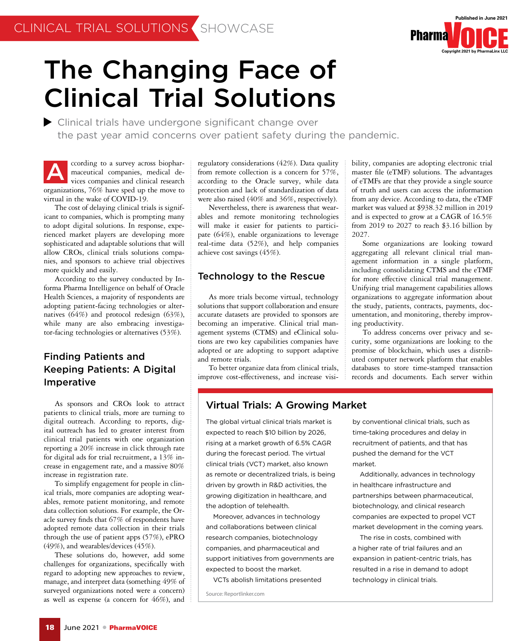

bility, companies are adopting electronic trial master file (eTMF) solutions. The advantages of eTMFs are that they provide a single source of truth and users can access the information from any device. According to data, the eTMF market was valued at \$938.32 million in 2019 and is expected to grow at a CAGR of 16.5% from 2019 to 2027 to reach \$3.16 billion by

Some organizations are looking toward aggregating all relevant clinical trial management information in a single platform, including consolidating CTMS and the eTMF for more effective clinical trial management. Unifying trial management capabilities allows organizations to aggregate information about the study, patients, contracts, payments, documentation, and monitoring, thereby improv-

To address concerns over privacy and security, some organizations are looking to the promise of blockchain, which uses a distributed computer network platform that enables databases to store time-stamped transaction records and documents. Each server within

2027.

ing productivity.

# The Changing Face of Clinical Trial Solutions

Clinical trials have undergone significant change over the past year amid concerns over patient safety during the pandemic.

ccording to a survey across biopharmaceutical companies, medical devices companies and clinical research organizations, 76% have sped up the move to virtual in the wake of COVID-19. A

The cost of delaying clinical trials is significant to companies, which is prompting many to adopt digital solutions. In response, experienced market players are developing more sophisticated and adaptable solutions that will allow CROs, clinical trials solutions companies, and sponsors to achieve trial objectives more quickly and easily.

According to the survey conducted by Informa Pharma Intelligence on behalf of Oracle Health Sciences, a majority of respondents are adopting patient-facing technologies or alternatives (64%) and protocol redesign (63%), while many are also embracing investigator-facing technologies or alternatives (53%).

# Finding Patients and Keeping Patients: A Digital Imperative

As sponsors and CROs look to attract patients to clinical trials, more are turning to digital outreach. According to reports, digital outreach has led to greater interest from clinical trial patients with one organization reporting a 20% increase in click through rate for digital ads for trial recruitment, a 13% increase in engagement rate, and a massive 80% increase in registration rate.

To simplify engagement for people in clinical trials, more companies are adopting wearables, remote patient monitoring, and remote data collection solutions. For example, the Oracle survey finds that 67% of respondents have adopted remote data collection in their trials through the use of patient apps (57%), ePRO (49%), and wearables/devices (45%).

These solutions do, however, add some challenges for organizations, specifically with regard to adopting new approaches to review, manage, and interpret data (something 49% of surveyed organizations noted were a concern) as well as expense (a concern for 46%), and

regulatory considerations (42%). Data quality from remote collection is a concern for 57%, according to the Oracle survey, while data protection and lack of standardization of data were also raised (40% and 36%, respectively).

Nevertheless, there is awareness that wearables and remote monitoring technologies will make it easier for patients to participate (64%), enable organizations to leverage real-time data (52%), and help companies achieve cost savings (45%).

# Technology to the Rescue

As more trials become virtual, technology solutions that support collaboration and ensure accurate datasets are provided to sponsors are becoming an imperative. Clinical trial management systems (CTMS) and eClinical solutions are two key capabilities companies have adopted or are adopting to support adaptive and remote trials.

To better organize data from clinical trials, improve cost-effectiveness, and increase visi-

Virtual Trials: A Growing Market

The global virtual clinical trials market is expected to reach \$10 billion by 2026, rising at a market growth of 6.5% CAGR during the forecast period. The virtual clinical trials (VCT) market, also known as remote or decentralized trials, is being driven by growth in R&D activities, the growing digitization in healthcare, and the adoption of telehealth.

Moreover, advances in technology and collaborations between clinical research companies, biotechnology companies, and pharmaceutical and support initiatives from governments are expected to boost the market.

VCTs abolish limitations presented

Source: Reportlinker.com

by conventional clinical trials, such as time-taking procedures and delay in recruitment of patients, and that has pushed the demand for the VCT market.

Additionally, advances in technology in healthcare infrastructure and partnerships between pharmaceutical, biotechnology, and clinical research companies are expected to propel VCT market development in the coming years.

The rise in costs, combined with a higher rate of trial failures and an expansion in patient-centric trials, has resulted in a rise in demand to adopt technology in clinical trials.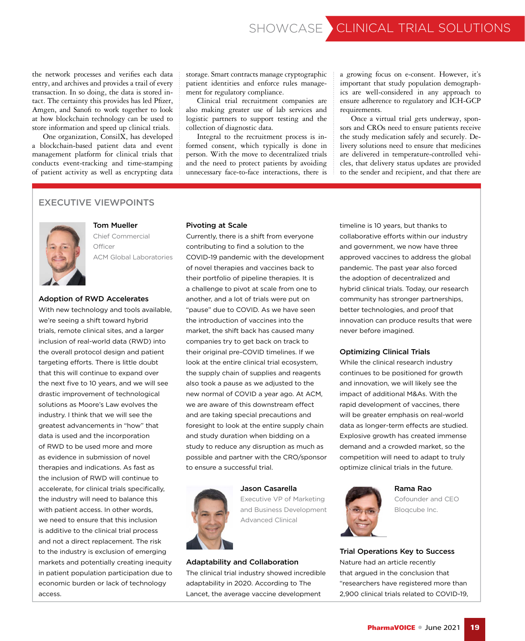the network processes and verifies each data entry, and archives and provides a trail of every transaction. In so doing, the data is stored intact. The certainty this provides has led Pfizer, Amgen, and Sanofi to work together to look at how blockchain technology can be used to store information and speed up clinical trials.

One organization, ConsilX, has developed a blockchain-based patient data and event management platform for clinical trials that conducts event-tracking and time-stamping of patient activity as well as encrypting data

storage. Smart contracts manage cryptographic patient identities and enforce rules management for regulatory compliance.

Clinical trial recruitment companies are also making greater use of lab services and logistic partners to support testing and the collection of diagnostic data.

Integral to the recruitment process is informed consent, which typically is done in person. With the move to decentralized trials and the need to protect patients by avoiding unnecessary face-to-face interactions, there is a growing focus on e-consent. However, it's important that study population demographics are well-considered in any approach to ensure adherence to regulatory and ICH-GCP requirements.

Once a virtual trial gets underway, sponsors and CROs need to ensure patients receive the study medication safely and securely. Delivery solutions need to ensure that medicines are delivered in temperature-controlled vehicles, that delivery status updates are provided to the sender and recipient, and that there are

# EXECUTIVE VIEWPOINTS



Tom Mueller Chief Commercial **Officer** ACM Global Laboratories

## Adoption of RWD Accelerates

 solutions as Moore's Law evolves the With new technology and tools available, we're seeing a shift toward hybrid trials, remote clinical sites, and a larger inclusion of real-world data (RWD) into the overall protocol design and patient targeting efforts. There is little doubt that this will continue to expand over the next five to 10 years, and we will see drastic improvement of technological industry. I think that we will see the greatest advancements in "how" that data is used and the incorporation of RWD to be used more and more as evidence in submission of novel therapies and indications. As fast as the inclusion of RWD will continue to accelerate, for clinical trials specifically, the industry will need to balance this with patient access. In other words, we need to ensure that this inclusion is additive to the clinical trial process and not a direct replacement. The risk to the industry is exclusion of emerging markets and potentially creating inequity in patient population participation due to economic burden or lack of technology access.

## Pivoting at Scale

Currently, there is a shift from everyone contributing to find a solution to the COVID-19 pandemic with the development of novel therapies and vaccines back to their portfolio of pipeline therapies. It is a challenge to pivot at scale from one to another, and a lot of trials were put on "pause" due to COVID. As we have seen the introduction of vaccines into the market, the shift back has caused many companies try to get back on track to their original pre-COVID timelines. If we look at the entire clinical trial ecosystem, the supply chain of supplies and reagents also took a pause as we adjusted to the new normal of COVID a year ago. At ACM, we are aware of this downstream effect and are taking special precautions and foresight to look at the entire supply chain and study duration when bidding on a study to reduce any disruption as much as possible and partner with the CRO/sponsor to ensure a successful trial.



Jason Casarella

Executive VP of Marketing and Business Development Advanced Clinical

#### Adaptability and Collaboration

The clinical trial industry showed incredible adaptability in 2020. According to The Lancet, the average vaccine development

timeline is 10 years, but thanks to collaborative efforts within our industry and government, we now have three approved vaccines to address the global pandemic. The past year also forced the adoption of decentralized and hybrid clinical trials. Today, our research community has stronger partnerships, better technologies, and proof that innovation can produce results that were never before imagined.

## Optimizing Clinical Trials

While the clinical research industry continues to be positioned for growth and innovation, we will likely see the impact of additional M&As. With the rapid development of vaccines, there will be greater emphasis on real-world data as longer-term effects are studied. Explosive growth has created immense demand and a crowded market, so the competition will need to adapt to truly optimize clinical trials in the future.



Rama Rao Cofounder and CEO Bloqcube Inc.

Trial Operations Key to Success Nature had an article recently that argued in the conclusion that "researchers have registered more than 2,900 clinical trials related to COVID-19,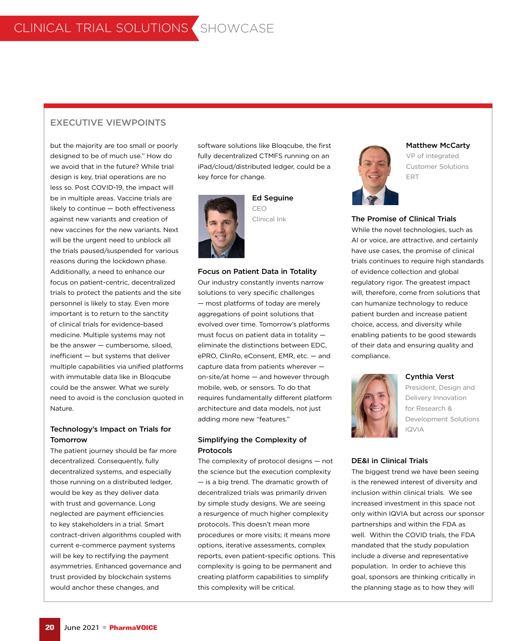# EXECUTIVE VIEWPOINTS

**inefficient** — but systems that deliver but the majority are too small or poorly designed to be of much use." How do we avoid that in the future? While trial design is key, trial operations are no less so. Post COVID-19, the impact will be in multiple areas. Vaccine trials are likely to continue — both effectiveness against new variants and creation of new vaccines for the new variants. Next will be the urgent need to unblock all the trials paused/suspended for various reasons during the lockdown phase. Additionally, a need to enhance our focus on patient-centric, decentralized trials to protect the patients and the site personnel is likely to stay. Even more important is to return to the sanctity of clinical trials for evidence-based medicine. Multiple systems may not be the answer — cumbersome, siloed, multiple capabilities via unified platforms with immutable data like in Bloqcube could be the answer. What we surely need to avoid is the conclusion quoted in Nature.

# Technology's Impact on Trials for **Tomorrow**

The patient journey should be far more decentralized. Consequently, fully decentralized systems, and especially those running on a distributed ledger, would be key as they deliver data with trust and governance. Long neglected are payment efficiencies to key stakeholders in a trial. Smart contract-driven algorithms coupled with current e-commerce payment systems will be key to rectifying the payment asymmetries. Enhanced governance and trust provided by blockchain systems would anchor these changes, and

software solutions like Bloqcube, the first fully decentralized CTMFS running on an iPad/cloud/distributed ledger, could be a key force for change.



Ed Seguine CEO Clinical Ink

## Focus on Patient Data in Totality

Our industry constantly invents narrow solutions to very specific challenges — most platforms of today are merely aggregations of point solutions that evolved over time. Tomorrow's platforms must focus on patient data in totality eliminate the distinctions between EDC, ePRO, ClinRo, eConsent, EMR, etc. — and capture data from patients wherever on-site/at home — and however through mobile, web, or sensors. To do that requires fundamentally different platform architecture and data models, not just adding more new "features."

# Simplifying the Complexity of Protocols

The complexity of protocol designs — not the science but the execution complexity — is a big trend. The dramatic growth of decentralized trials was primarily driven by simple study designs. We are seeing a resurgence of much higher complexity protocols. This doesn't mean more procedures or more visits; it means more options, iterative assessments, complex reports, even patient-specific options. This complexity is going to be permanent and creating platform capabilities to simplify this complexity will be critical.



#### Matthew McCarty

VP of Integrated Customer Solutions ERT

## The Promise of Clinical Trials

While the novel technologies, such as AI or voice, are attractive, and certainly have use cases, the promise of clinical trials continues to require high standards of evidence collection and global regulatory rigor. The greatest impact will, therefore, come from solutions that can humanize technology to reduce patient burden and increase patient choice, access, and diversity while enabling patients to be good stewards of their data and ensuring quality and compliance.



#### Cynthia Verst

President, Design and Delivery Innovation for Research & Development Solutions IQVIA

#### DE&I in Clinical Trials

The biggest trend we have been seeing is the renewed interest of diversity and inclusion within clinical trials. We see increased investment in this space not only within IQVIA but across our sponsor partnerships and within the FDA as well. Within the COVID trials, the FDA mandated that the study population include a diverse and representative population. In order to achieve this goal, sponsors are thinking critically in the planning stage as to how they will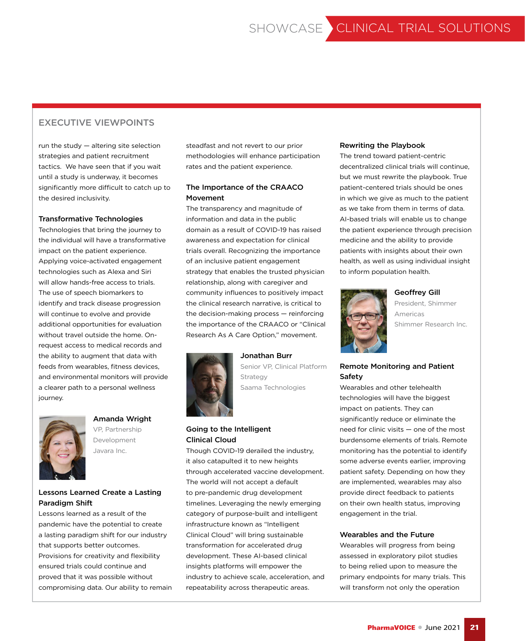# EXECUTIVE VIEWPOINTS

run the study — altering site selection strategies and patient recruitment tactics. We have seen that if you wait until a study is underway, it becomes significantly more difficult to catch up to the desired inclusivity.

## Transformative Technologies

 the ability to augment that data with Technologies that bring the journey to the individual will have a transformative impact on the patient experience. Applying voice-activated engagement technologies such as Alexa and Siri will allow hands-free access to trials. The use of speech biomarkers to identify and track disease progression will continue to evolve and provide additional opportunities for evaluation without travel outside the home. Onrequest access to medical records and feeds from wearables, fitness devices, and environmental monitors will provide a clearer path to a personal wellness journey.



# Amanda Wright

VP, Partnership Development Javara Inc.

# Lessons Learned Create a Lasting Paradigm Shift

Lessons learned as a result of the pandemic have the potential to create a lasting paradigm shift for our industry that supports better outcomes. Provisions for creativity and flexibility ensured trials could continue and proved that it was possible without compromising data. Our ability to remain

steadfast and not revert to our prior methodologies will enhance participation rates and the patient experience.

# The Importance of the CRAACO Movement

The transparency and magnitude of information and data in the public domain as a result of COVID-19 has raised awareness and expectation for clinical trials overall. Recognizing the importance of an inclusive patient engagement strategy that enables the trusted physician relationship, along with caregiver and community influences to positively impact the clinical research narrative, is critical to the decision-making process — reinforcing the importance of the CRAACO or "Clinical Research As A Care Option," movement.



Jonathan Burr Senior VP, Clinical Platform Strategy Saama Technologies

# Going to the Intelligent Clinical Cloud

Though COVID-19 derailed the industry, it also catapulted it to new heights through accelerated vaccine development. The world will not accept a default to pre-pandemic drug development timelines. Leveraging the newly emerging category of purpose-built and intelligent infrastructure known as "Intelligent Clinical Cloud" will bring sustainable transformation for accelerated drug development. These AI-based clinical insights platforms will empower the industry to achieve scale, acceleration, and repeatability across therapeutic areas.

## Rewriting the Playbook

The trend toward patient-centric decentralized clinical trials will continue, but we must rewrite the playbook. True patient-centered trials should be ones in which we give as much to the patient as we take from them in terms of data. AI-based trials will enable us to change the patient experience through precision medicine and the ability to provide patients with insights about their own health, as well as using individual insight to inform population health.



## Geoffrey Gill

President, Shimmer Americas Shimmer Research Inc.

# Remote Monitoring and Patient Safety

Wearables and other telehealth technologies will have the biggest impact on patients. They can significantly reduce or eliminate the need for clinic visits — one of the most burdensome elements of trials. Remote monitoring has the potential to identify some adverse events earlier, improving patient safety. Depending on how they are implemented, wearables may also provide direct feedback to patients on their own health status, improving engagement in the trial.

## Wearables and the Future

Wearables will progress from being assessed in exploratory pilot studies to being relied upon to measure the primary endpoints for many trials. This will transform not only the operation